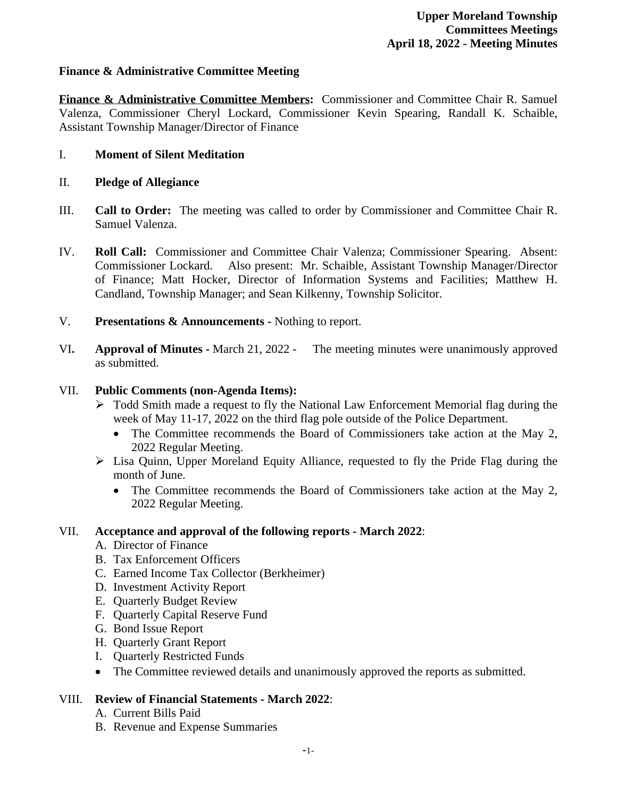## **Finance & Administrative Committee Meeting**

**Finance & Administrative Committee Members:** Commissioner and Committee Chair R. Samuel Valenza, Commissioner Cheryl Lockard, Commissioner Kevin Spearing, Randall K. Schaible, Assistant Township Manager/Director of Finance

#### I. **Moment of Silent Meditation**

- II. **Pledge of Allegiance**
- III. **Call to Order:** The meeting was called to order by Commissioner and Committee Chair R. Samuel Valenza.
- IV. **Roll Call:** Commissioner and Committee Chair Valenza; Commissioner Spearing. Absent: Commissioner Lockard. Also present: Mr. Schaible, Assistant Township Manager/Director of Finance; Matt Hocker, Director of Information Systems and Facilities; Matthew H. Candland, Township Manager; and Sean Kilkenny, Township Solicitor.
- V. **Presentations & Announcements** Nothing to report.
- VI**. Approval of Minutes** March 21, 2022 The meeting minutes were unanimously approved as submitted.

#### VII. **Public Comments (non-Agenda Items):**

- Todd Smith made a request to fly the National Law Enforcement Memorial flag during the week of May 11-17, 2022 on the third flag pole outside of the Police Department.
	- The Committee recommends the Board of Commissioners take action at the May 2, 2022 Regular Meeting.
- Lisa Quinn, Upper Moreland Equity Alliance, requested to fly the Pride Flag during the month of June.
	- The Committee recommends the Board of Commissioners take action at the May 2, 2022 Regular Meeting.

## VII. **Acceptance and approval of the following reports - March 2022**:

- A. Director of Finance
- B. Tax Enforcement Officers
- C. Earned Income Tax Collector (Berkheimer)
- D. Investment Activity Report
- E. Quarterly Budget Review
- F. Quarterly Capital Reserve Fund
- G. Bond Issue Report
- H. Quarterly Grant Report
- I. Quarterly Restricted Funds
- The Committee reviewed details and unanimously approved the reports as submitted.

## VIII. **Review of Financial Statements - March 2022**:

- A. Current Bills Paid
- B. Revenue and Expense Summaries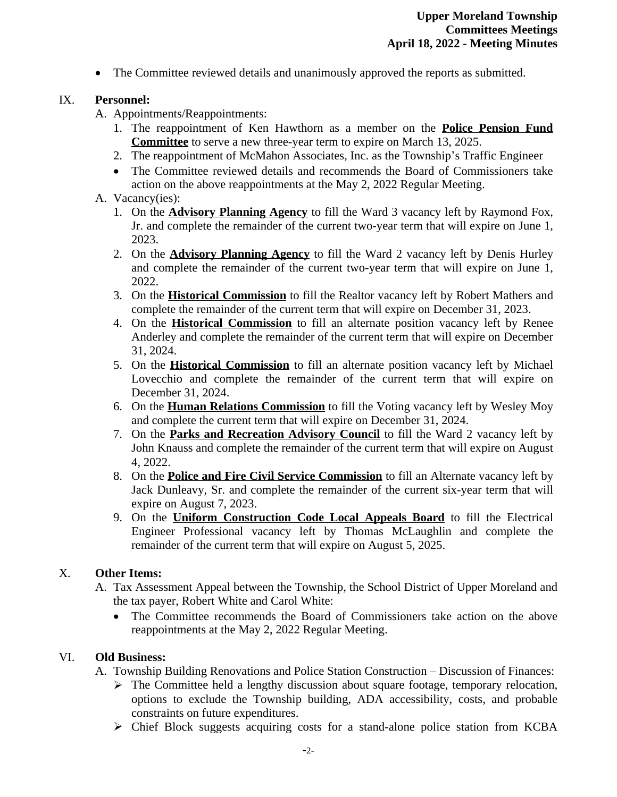• The Committee reviewed details and unanimously approved the reports as submitted.

### IX. **Personnel:**

A. Appointments/Reappointments:

- 1. The reappointment of Ken Hawthorn as a member on the **Police Pension Fund Committee** to serve a new three-year term to expire on March 13, 2025.
- 2. The reappointment of McMahon Associates, Inc. as the Township's Traffic Engineer
- The Committee reviewed details and recommends the Board of Commissioners take action on the above reappointments at the May 2, 2022 Regular Meeting.

#### A. Vacancy(ies):

- 1. On the **Advisory Planning Agency** to fill the Ward 3 vacancy left by Raymond Fox, Jr. and complete the remainder of the current two-year term that will expire on June 1, 2023.
- 2. On the **Advisory Planning Agency** to fill the Ward 2 vacancy left by Denis Hurley and complete the remainder of the current two-year term that will expire on June 1, 2022.
- 3. On the **Historical Commission** to fill the Realtor vacancy left by Robert Mathers and complete the remainder of the current term that will expire on December 31, 2023.
- 4. On the **Historical Commission** to fill an alternate position vacancy left by Renee Anderley and complete the remainder of the current term that will expire on December 31, 2024.
- 5. On the **Historical Commission** to fill an alternate position vacancy left by Michael Lovecchio and complete the remainder of the current term that will expire on December 31, 2024.
- 6. On the **Human Relations Commission** to fill the Voting vacancy left by Wesley Moy and complete the current term that will expire on December 31, 2024.
- 7. On the **Parks and Recreation Advisory Council** to fill the Ward 2 vacancy left by John Knauss and complete the remainder of the current term that will expire on August 4, 2022.
- 8. On the **Police and Fire Civil Service Commission** to fill an Alternate vacancy left by Jack Dunleavy, Sr. and complete the remainder of the current six-year term that will expire on August 7, 2023.
- 9. On the **Uniform Construction Code Local Appeals Board** to fill the Electrical Engineer Professional vacancy left by Thomas McLaughlin and complete the remainder of the current term that will expire on August 5, 2025.

## X. **Other Items:**

- A. Tax Assessment Appeal between the Township, the School District of Upper Moreland and the tax payer, Robert White and Carol White:
	- The Committee recommends the Board of Commissioners take action on the above reappointments at the May 2, 2022 Regular Meeting.

## VI. **Old Business:**

A. Township Building Renovations and Police Station Construction – Discussion of Finances:

- $\triangleright$  The Committee held a lengthy discussion about square footage, temporary relocation, options to exclude the Township building, ADA accessibility, costs, and probable constraints on future expenditures.
- $\triangleright$  Chief Block suggests acquiring costs for a stand-alone police station from KCBA